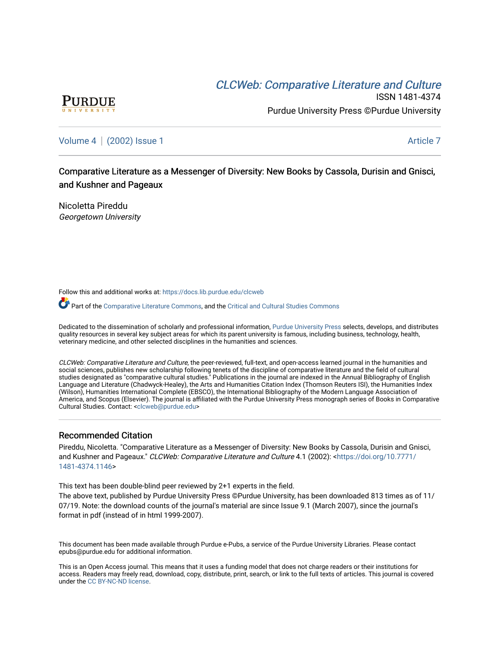# CLCW[eb: Comparative Liter](https://docs.lib.purdue.edu/clcweb)ature and Culture



ISSN 1481-4374 Purdue University Press ©Purdue University

[Volume 4](https://docs.lib.purdue.edu/clcweb/vol4) | [\(2002\) Issue 1](https://docs.lib.purdue.edu/clcweb/vol4/iss1) Article 7

Comparative Literature as a Messenger of Diversity: New Books by Cassola, Durisin and Gnisci, and Kushner and Pageaux

Nicoletta Pireddu Georgetown University

Follow this and additional works at: [https://docs.lib.purdue.edu/clcweb](https://docs.lib.purdue.edu/clcweb?utm_source=docs.lib.purdue.edu%2Fclcweb%2Fvol4%2Fiss1%2F7&utm_medium=PDF&utm_campaign=PDFCoverPages)

Part of the [Comparative Literature Commons,](http://network.bepress.com/hgg/discipline/454?utm_source=docs.lib.purdue.edu%2Fclcweb%2Fvol4%2Fiss1%2F7&utm_medium=PDF&utm_campaign=PDFCoverPages) and the [Critical and Cultural Studies Commons](http://network.bepress.com/hgg/discipline/328?utm_source=docs.lib.purdue.edu%2Fclcweb%2Fvol4%2Fiss1%2F7&utm_medium=PDF&utm_campaign=PDFCoverPages) 

Dedicated to the dissemination of scholarly and professional information, [Purdue University Press](http://www.thepress.purdue.edu/) selects, develops, and distributes quality resources in several key subject areas for which its parent university is famous, including business, technology, health, veterinary medicine, and other selected disciplines in the humanities and sciences.

CLCWeb: Comparative Literature and Culture, the peer-reviewed, full-text, and open-access learned journal in the humanities and social sciences, publishes new scholarship following tenets of the discipline of comparative literature and the field of cultural studies designated as "comparative cultural studies." Publications in the journal are indexed in the Annual Bibliography of English Language and Literature (Chadwyck-Healey), the Arts and Humanities Citation Index (Thomson Reuters ISI), the Humanities Index (Wilson), Humanities International Complete (EBSCO), the International Bibliography of the Modern Language Association of America, and Scopus (Elsevier). The journal is affiliated with the Purdue University Press monograph series of Books in Comparative Cultural Studies. Contact: [<clcweb@purdue.edu](mailto:clcweb@purdue.edu)>

# Recommended Citation

Pireddu, Nicoletta. "Comparative Literature as a Messenger of Diversity: New Books by Cassola, Durisin and Gnisci, and Kushner and Pageaux." CLCWeb: Comparative Literature and Culture 4.1 (2002): <[https://doi.org/10.7771/](https://doi.org/10.7771/1481-4374.1146) [1481-4374.1146](https://doi.org/10.7771/1481-4374.1146)>

This text has been double-blind peer reviewed by 2+1 experts in the field.

The above text, published by Purdue University Press ©Purdue University, has been downloaded 813 times as of 11/ 07/19. Note: the download counts of the journal's material are since Issue 9.1 (March 2007), since the journal's format in pdf (instead of in html 1999-2007).

This document has been made available through Purdue e-Pubs, a service of the Purdue University Libraries. Please contact epubs@purdue.edu for additional information.

This is an Open Access journal. This means that it uses a funding model that does not charge readers or their institutions for access. Readers may freely read, download, copy, distribute, print, search, or link to the full texts of articles. This journal is covered under the [CC BY-NC-ND license.](https://creativecommons.org/licenses/by-nc-nd/4.0/)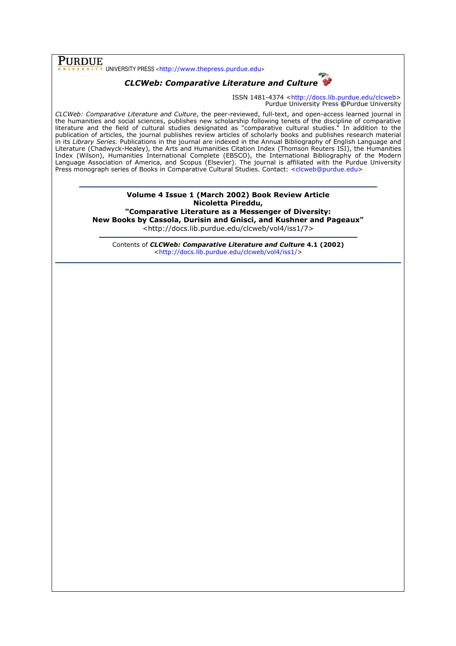**PURDUE**<br>
UNIVERSITY PRESS <http://www.thepress.purdue.edu>



ISSN 1481-4374 <http://docs.lib.purdue.edu/clcweb> Purdue University Press ©Purdue University

CLCWeb: Comparative Literature and Culture, the peer-reviewed, full-text, and open-access learned journal in the humanities and social sciences, publishes new scholarship following tenets of the discipline of comparative literature and the field of cultural studies designated as "comparative cultural studies." In addition to the publication of articles, the journal publishes review articles of scholarly books and publishes research material in its Library Series. Publications in the journal are indexed in the Annual Bibliography of English Language and Literature (Chadwyck-Healey), the Arts and Humanities Citation Index (Thomson Reuters ISI), the Humanities Index (Wilson), Humanities International Complete (EBSCO), the International Bibliography of the Modern Language Association of America, and Scopus (Elsevier). The journal is affiliated with the Purdue University Press monograph series of Books in Comparative Cultural Studies. Contact: <clcweb@purdue.edu>

> Volume 4 Issue 1 (March 2002) Book Review Article Nicoletta Pireddu, "Comparative Literature as a Messenger of Diversity: New Books by Cassola, Durisin and Gnisci, and Kushner and Pageaux" <http://docs.lib.purdue.edu/clcweb/vol4/iss1/7>

Contents of CLCWeb: Comparative Literature and Culture 4.1 (2002) <http://docs.lib.purdue.edu/clcweb/vol4/iss1/>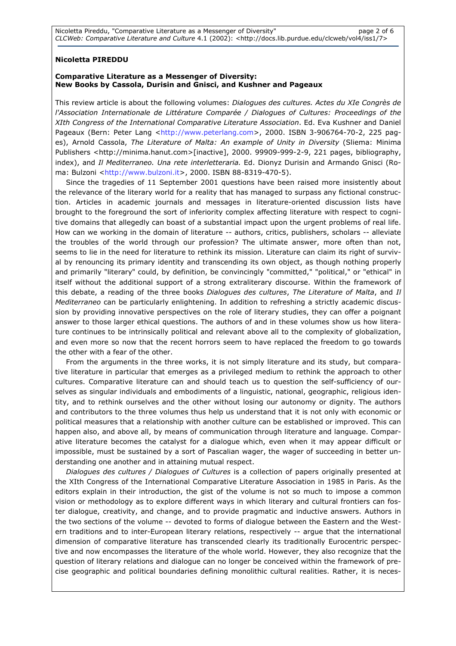## Nicoletta PIREDDU

### Comparative Literature as a Messenger of Diversity: New Books by Cassola, Durisin and Gnisci, and Kushner and Pageaux

This review article is about the following volumes: Dialogues des cultures. Actes du XIe Congrès de l'Association Internationale de Littérature Comparée / Dialogues of Cultures: Proceedings of the XIth Congress of the International Comparative Literature Association. Ed. Eva Kushner and Daniel Pageaux (Bern: Peter Lang <http://www.peterlang.com>, 2000. ISBN 3-906764-70-2, 225 pages), Arnold Cassola, The Literature of Malta: An example of Unity in Diversity (Sliema: Minima Publishers <http://minima.hanut.com>[inactive], 2000. 99909-999-2-9, 221 pages, bibliography, index), and Il Mediterraneo. Una rete interletteraria. Ed. Dionyz Durisin and Armando Gnisci (Roma: Bulzoni <http://www.bulzoni.it>, 2000. ISBN 88-8319-470-5).

Since the tragedies of 11 September 2001 questions have been raised more insistently about the relevance of the literary world for a reality that has managed to surpass any fictional construction. Articles in academic journals and messages in literature-oriented discussion lists have brought to the foreground the sort of inferiority complex affecting literature with respect to cognitive domains that allegedly can boast of a substantial impact upon the urgent problems of real life. How can we working in the domain of literature -- authors, critics, publishers, scholars -- alleviate the troubles of the world through our profession? The ultimate answer, more often than not, seems to lie in the need for literature to rethink its mission. Literature can claim its right of survival by renouncing its primary identity and transcending its own object, as though nothing properly and primarily "literary" could, by definition, be convincingly "committed," "political," or "ethical" in itself without the additional support of a strong extraliterary discourse. Within the framework of this debate, a reading of the three books Dialogues des cultures, The Literature of Malta, and Il Mediterraneo can be particularly enlightening. In addition to refreshing a strictly academic discussion by providing innovative perspectives on the role of literary studies, they can offer a poignant answer to those larger ethical questions. The authors of and in these volumes show us how literature continues to be intrinsically political and relevant above all to the complexity of globalization, and even more so now that the recent horrors seem to have replaced the freedom to go towards the other with a fear of the other.

From the arguments in the three works, it is not simply literature and its study, but comparative literature in particular that emerges as a privileged medium to rethink the approach to other cultures. Comparative literature can and should teach us to question the self-sufficiency of ourselves as singular individuals and embodiments of a linguistic, national, geographic, religious identity, and to rethink ourselves and the other without losing our autonomy or dignity. The authors and contributors to the three volumes thus help us understand that it is not only with economic or political measures that a relationship with another culture can be established or improved. This can happen also, and above all, by means of communication through literature and language. Comparative literature becomes the catalyst for a dialogue which, even when it may appear difficult or impossible, must be sustained by a sort of Pascalian wager, the wager of succeeding in better understanding one another and in attaining mutual respect.

Dialogues des cultures / Dialogues of Cultures is a collection of papers originally presented at the XIth Congress of the International Comparative Literature Association in 1985 in Paris. As the editors explain in their introduction, the gist of the volume is not so much to impose a common vision or methodology as to explore different ways in which literary and cultural frontiers can foster dialogue, creativity, and change, and to provide pragmatic and inductive answers. Authors in the two sections of the volume -- devoted to forms of dialogue between the Eastern and the Western traditions and to inter-European literary relations, respectively -- argue that the international dimension of comparative literature has transcended clearly its traditionally Eurocentric perspective and now encompasses the literature of the whole world. However, they also recognize that the question of literary relations and dialogue can no longer be conceived within the framework of precise geographic and political boundaries defining monolithic cultural realities. Rather, it is neces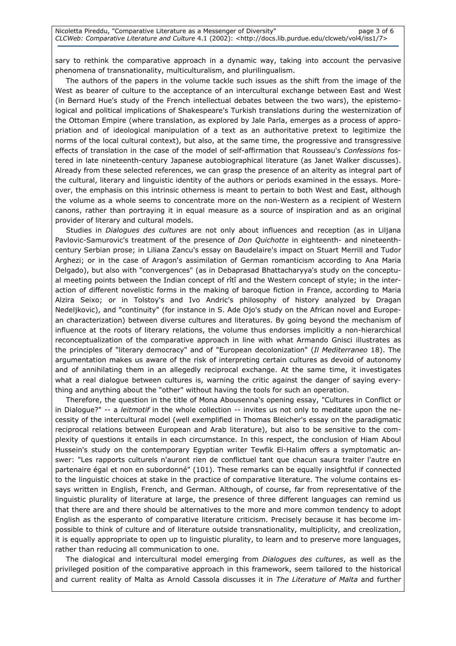sary to rethink the comparative approach in a dynamic way, taking into account the pervasive phenomena of transnationality, multiculturalism, and plurilingualism.

The authors of the papers in the volume tackle such issues as the shift from the image of the West as bearer of culture to the acceptance of an intercultural exchange between East and West (in Bernard Hue's study of the French intellectual debates between the two wars), the epistemological and political implications of Shakespeare's Turkish translations during the westernization of the Ottoman Empire (where translation, as explored by Jale Parla, emerges as a process of appropriation and of ideological manipulation of a text as an authoritative pretext to legitimize the norms of the local cultural context), but also, at the same time, the progressive and transgressive effects of translation in the case of the model of self-affirmation that Rousseau's Confessions fostered in late nineteenth-century Japanese autobiographical literature (as Janet Walker discusses). Already from these selected references, we can grasp the presence of an alterity as integral part of the cultural, literary and linguistic identity of the authors or periods examined in the essays. Moreover, the emphasis on this intrinsic otherness is meant to pertain to both West and East, although the volume as a whole seems to concentrate more on the non-Western as a recipient of Western canons, rather than portraying it in equal measure as a source of inspiration and as an original provider of literary and cultural models.

Studies in *Dialogues des cultures* are not only about influences and reception (as in Liljana Pavlovic-Samurovic's treatment of the presence of *Don Quichotte* in eighteenth- and nineteenthcentury Serbian prose; in Liliana Zancu's essay on Baudelaire's impact on Stuart Merrill and Tudor Arghezi; or in the case of Aragon's assimilation of German romanticism according to Ana Maria Delgado), but also with "convergences" (as in Debaprasad Bhattacharyya's study on the conceptual meeting points between the Indian concept of rîtî and the Western concept of style; in the interaction of different novelistic forms in the making of baroque fiction in France, according to Maria Alzira Seixo; or in Tolstoy's and Ivo Andric's philosophy of history analyzed by Dragan Nedeljkovic), and "continuity" (for instance in S. Ade Ojo's study on the African novel and European characterization) between diverse cultures and literatures. By going beyond the mechanism of influence at the roots of literary relations, the volume thus endorses implicitly a non-hierarchical reconceptualization of the comparative approach in line with what Armando Gnisci illustrates as the principles of "literary democracy" and of "European decolonization" (Il Mediterraneo 18). The argumentation makes us aware of the risk of interpreting certain cultures as devoid of autonomy and of annihilating them in an allegedly reciprocal exchange. At the same time, it investigates what a real dialogue between cultures is, warning the critic against the danger of saying everything and anything about the "other" without having the tools for such an operation.

Therefore, the question in the title of Mona Abousenna's opening essay, "Cultures in Conflict or in Dialogue?" -- a leitmotif in the whole collection -- invites us not only to meditate upon the necessity of the intercultural model (well exemplified in Thomas Bleicher's essay on the paradigmatic reciprocal relations between European and Arab literature), but also to be sensitive to the complexity of questions it entails in each circumstance. In this respect, the conclusion of Hiam Aboul Hussein's study on the contemporary Egyptian writer Tewfik El-Halim offers a symptomatic answer: "Les rapports culturels n'auront rien de conflictuel tant que chacun saura traiter l'autre en partenaire égal et non en subordonné" (101). These remarks can be equally insightful if connected to the linguistic choices at stake in the practice of comparative literature. The volume contains essays written in English, French, and German. Although, of course, far from representative of the linguistic plurality of literature at large, the presence of three different languages can remind us that there are and there should be alternatives to the more and more common tendency to adopt English as the esperanto of comparative literature criticism. Precisely because it has become impossible to think of culture and of literature outside transnationality, multiplicity, and creolization, it is equally appropriate to open up to linguistic plurality, to learn and to preserve more languages, rather than reducing all communication to one.

The dialogical and intercultural model emerging from Dialogues des cultures, as well as the privileged position of the comparative approach in this framework, seem tailored to the historical and current reality of Malta as Arnold Cassola discusses it in The Literature of Malta and further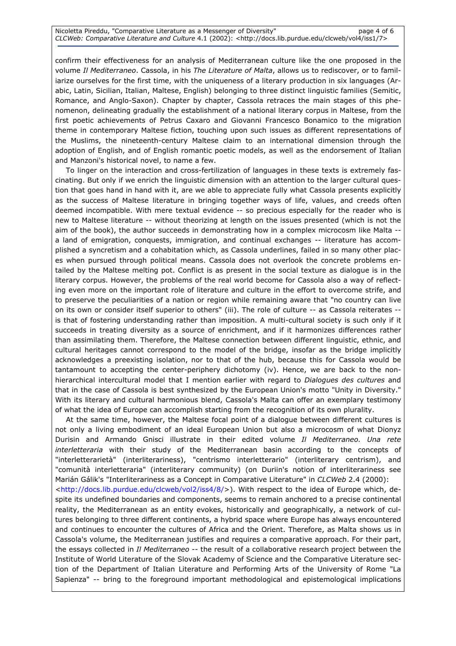confirm their effectiveness for an analysis of Mediterranean culture like the one proposed in the volume Il Mediterraneo. Cassola, in his The Literature of Malta, allows us to rediscover, or to familiarize ourselves for the first time, with the uniqueness of a literary production in six languages (Arabic, Latin, Sicilian, Italian, Maltese, English) belonging to three distinct linguistic families (Semitic, Romance, and Anglo-Saxon). Chapter by chapter, Cassola retraces the main stages of this phenomenon, delineating gradually the establishment of a national literary corpus in Maltese, from the first poetic achievements of Petrus Caxaro and Giovanni Francesco Bonamico to the migration theme in contemporary Maltese fiction, touching upon such issues as different representations of the Muslims, the nineteenth-century Maltese claim to an international dimension through the adoption of English, and of English romantic poetic models, as well as the endorsement of Italian and Manzoni's historical novel, to name a few.

To linger on the interaction and cross-fertilization of languages in these texts is extremely fascinating. But only if we enrich the linguistic dimension with an attention to the larger cultural question that goes hand in hand with it, are we able to appreciate fully what Cassola presents explicitly as the success of Maltese literature in bringing together ways of life, values, and creeds often deemed incompatible. With mere textual evidence -- so precious especially for the reader who is new to Maltese literature -- without theorizing at length on the issues presented (which is not the aim of the book), the author succeeds in demonstrating how in a complex microcosm like Malta -a land of emigration, conquests, immigration, and continual exchanges -- literature has accomplished a syncretism and a cohabitation which, as Cassola underlines, failed in so many other places when pursued through political means. Cassola does not overlook the concrete problems entailed by the Maltese melting pot. Conflict is as present in the social texture as dialogue is in the literary corpus. However, the problems of the real world become for Cassola also a way of reflecting even more on the important role of literature and culture in the effort to overcome strife, and to preserve the peculiarities of a nation or region while remaining aware that "no country can live on its own or consider itself superior to others" (iii). The role of culture -- as Cassola reiterates - is that of fostering understanding rather than imposition. A multi-cultural society is such only if it succeeds in treating diversity as a source of enrichment, and if it harmonizes differences rather than assimilating them. Therefore, the Maltese connection between different linguistic, ethnic, and cultural heritages cannot correspond to the model of the bridge, insofar as the bridge implicitly acknowledges a preexisting isolation, nor to that of the hub, because this for Cassola would be tantamount to accepting the center-periphery dichotomy (iv). Hence, we are back to the nonhierarchical intercultural model that I mention earlier with regard to Dialogues des cultures and that in the case of Cassola is best synthesized by the European Union's motto "Unity in Diversity." With its literary and cultural harmonious blend, Cassola's Malta can offer an exemplary testimony of what the idea of Europe can accomplish starting from the recognition of its own plurality.

At the same time, however, the Maltese focal point of a dialogue between different cultures is not only a living embodiment of an ideal European Union but also a microcosm of what Dionyz Durisin and Armando Gnisci illustrate in their edited volume Il Mediterraneo. Una rete interletteraria with their study of the Mediterranean basin according to the concepts of "interletterarietà" (interliterariness), "centrismo interletterario" (interliterary centrism), and "comunità interletteraria" (interliterary community) (on Duriin's notion of interliterariness see Marián Gálik's "Interliterariness as a Concept in Comparative Literature" in CLCWeb 2.4 (2000): <http://docs.lib.purdue.edu/clcweb/vol2/iss4/8/>). With respect to the idea of Europe which, despite its undefined boundaries and components, seems to remain anchored to a precise continental reality, the Mediterranean as an entity evokes, historically and geographically, a network of cultures belonging to three different continents, a hybrid space where Europe has always encountered and continues to encounter the cultures of Africa and the Orient. Therefore, as Malta shows us in Cassola's volume, the Mediterranean justifies and requires a comparative approach. For their part, the essays collected in Il Mediterraneo -- the result of a collaborative research project between the Institute of World Literature of the Slovak Academy of Science and the Comparative Literature section of the Department of Italian Literature and Performing Arts of the University of Rome "La Sapienza" -- bring to the foreground important methodological and epistemological implications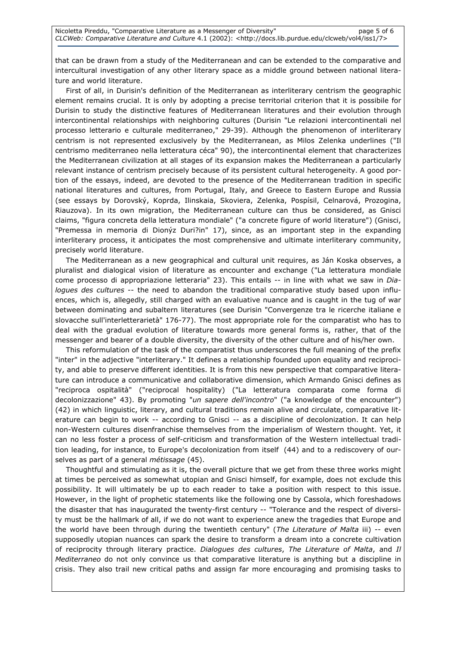that can be drawn from a study of the Mediterranean and can be extended to the comparative and intercultural investigation of any other literary space as a middle ground between national literature and world literature.

First of all, in Durisin's definition of the Mediterranean as interliterary centrism the geographic element remains crucial. It is only by adopting a precise territorial criterion that it is possibile for Durisin to study the distinctive features of Mediterranean literatures and their evolution through intercontinental relationships with neighboring cultures (Durisin "Le relazioni intercontinentali nel processo letterario e culturale mediterraneo," 29-39). Although the phenomenon of interliterary centrism is not represented exclusively by the Mediterranean, as Milos Zelenka underlines ("Il centrismo mediterraneo nella letteratura céca" 90), the intercontinental element that characterizes the Mediterranean civilization at all stages of its expansion makes the Mediterranean a particularly relevant instance of centrism precisely because of its persistent cultural heterogeneity. A good portion of the essays, indeed, are devoted to the presence of the Mediterranean tradition in specific national literatures and cultures, from Portugal, Italy, and Greece to Eastern Europe and Russia (see essays by Dorovský, Koprda, Ilinskaia, Skoviera, Zelenka, Pospísil, Celnarová, Prozogina, Riauzova). In its own migration, the Mediterranean culture can thus be considered, as Gnisci claims, "figura concreta della letteratura mondiale" ("a concrete figure of world literature") (Gnisci, "Premessa in memoria di Dionýz Duri?in" 17), since, as an important step in the expanding interliterary process, it anticipates the most comprehensive and ultimate interliterary community, precisely world literature.

The Mediterranean as a new geographical and cultural unit requires, as Ján Koska observes, a pluralist and dialogical vision of literature as encounter and exchange ("La letteratura mondiale come processo di appropriazione letteraria" 23). This entails -- in line with what we saw in Dialogues des cultures -- the need to abandon the traditional comparative study based upon influences, which is, allegedly, still charged with an evaluative nuance and is caught in the tug of war between dominating and subaltern literatures (see Durisin "Convergenze tra le ricerche italiane e slovacche sull'interletterarietà" 176-77). The most appropriate role for the comparatist who has to deal with the gradual evolution of literature towards more general forms is, rather, that of the messenger and bearer of a double diversity, the diversity of the other culture and of his/her own.

This reformulation of the task of the comparatist thus underscores the full meaning of the prefix "inter" in the adjective "interliterary." It defines a relationship founded upon equality and reciprocity, and able to preserve different identities. It is from this new perspective that comparative literature can introduce a communicative and collaborative dimension, which Armando Gnisci defines as "reciproca ospitalità" ("reciprocal hospitality) ("La letteratura comparata come forma di decolonizzazione" 43). By promoting "un sapere dell'incontro" ("a knowledge of the encounter") (42) in which linguistic, literary, and cultural traditions remain alive and circulate, comparative literature can begin to work -- according to Gnisci -- as a discipline of decolonization. It can help non-Western cultures disenfranchise themselves from the imperialism of Western thought. Yet, it can no less foster a process of self-criticism and transformation of the Western intellectual tradition leading, for instance, to Europe's decolonization from itself (44) and to a rediscovery of ourselves as part of a general métissage (45).

Thoughtful and stimulating as it is, the overall picture that we get from these three works might at times be perceived as somewhat utopian and Gnisci himself, for example, does not exclude this possibility. It will ultimately be up to each reader to take a position with respect to this issue. However, in the light of prophetic statements like the following one by Cassola, which foreshadows the disaster that has inaugurated the twenty-first century -- "Tolerance and the respect of diversity must be the hallmark of all, if we do not want to experience anew the tragedies that Europe and the world have been through during the twentieth century" (The Literature of Malta iii) -- even supposedly utopian nuances can spark the desire to transform a dream into a concrete cultivation of reciprocity through literary practice. Dialogues des cultures, The Literature of Malta, and Il Mediterraneo do not only convince us that comparative literature is anything but a discipline in crisis. They also trail new critical paths and assign far more encouraging and promising tasks to